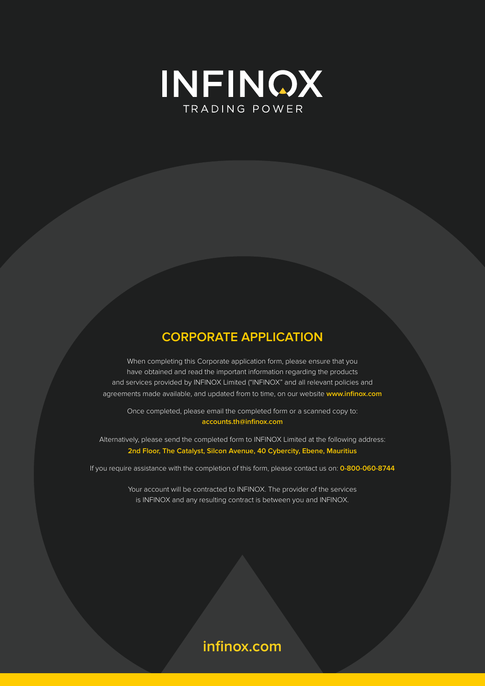

# **CORPORATE APPLICATION**

When completing this Corporate application form, please ensure that you have obtained and read the important information regarding the products and services provided by INFINOX Limited ("INFINOX" and all relevant policies and agreements made available, and updated from to time, on our website **www.infinox.com**

Once completed, please email the completed form or a scanned copy to: **accounts.th@infinox.com**

Alternatively, please send the completed form to INFINOX Limited at the following address: **2nd Floor, The Catalyst, Silcon Avenue, 40 Cybercity, Ebene, Mauritius**

If you require assistance with the completion of this form, please contact us on: **0-800-060-8744**

Your account will be contracted to INFINOX. The provider of the services is INFINOX and any resulting contract is between you and INFINOX.

# **infinox.com**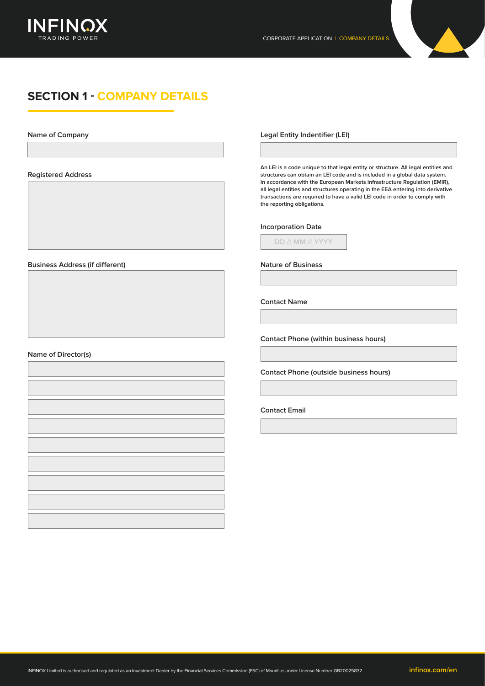

# **SECTION 1 - COMPANY DETAILS**

**Name of Company**

**Registered Address**

**Business Address (if different)**

## **Name of Director(s)**

**Legal Entity Indentifier (LEI)**

**An LEI is a code unique to that legal entity or structure. All legal entities and structures can obtain an LEI code and is included in a global data system. In accordance with the European Markets Infrastructure Regulation (EMIR), all legal entities and structures operating in the EEA entering into derivative transactions are required to have a valid LEI code in order to comply with the reporting obligations.**

## **Incorporation Date**

**DD // MM // YYYY**

**Nature of Business**

**Contact Name**

**Contact Phone (within business hours)**

**Contact Phone (outside business hours)**

### **Contact Email**

INFINOX Limited is authorised and regulated as an Investment Dealer by the Financial Services Commission (FSC) of Mauritius under License Number GB20025832 **infinox.com/en**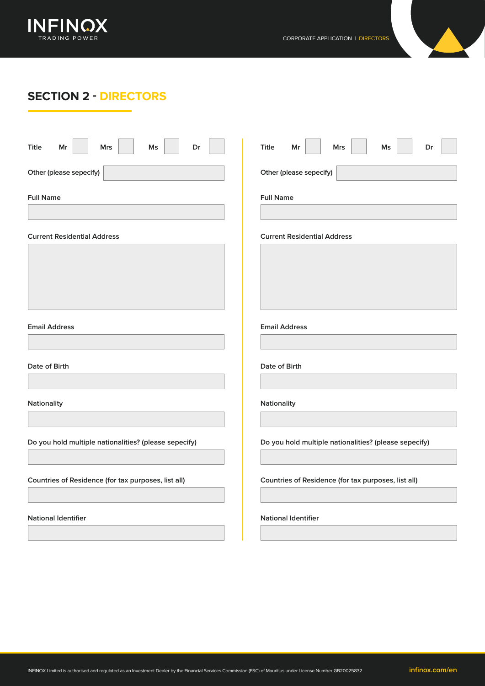

# **SECTION 2 - DIRECTORS**

| <b>Title</b><br>Dr<br>Mr<br><b>Mrs</b><br>Ms          | <b>Title</b><br>Mr<br><b>Mrs</b><br>Ms<br>Dr          |
|-------------------------------------------------------|-------------------------------------------------------|
| Other (please sepecify)                               | Other (please sepecify)                               |
| <b>Full Name</b>                                      | <b>Full Name</b>                                      |
| <b>Current Residential Address</b>                    | <b>Current Residential Address</b>                    |
|                                                       |                                                       |
|                                                       |                                                       |
|                                                       |                                                       |
| <b>Email Address</b>                                  | <b>Email Address</b>                                  |
| Date of Birth                                         | Date of Birth                                         |
| Nationality                                           | Nationality                                           |
|                                                       |                                                       |
| Do you hold multiple nationalities? (please sepecify) | Do you hold multiple nationalities? (please sepecify) |
| Countries of Residence (for tax purposes, list all)   | Countries of Residence (for tax purposes, list all)   |
| <b>National Identifier</b>                            | <b>National Identifier</b>                            |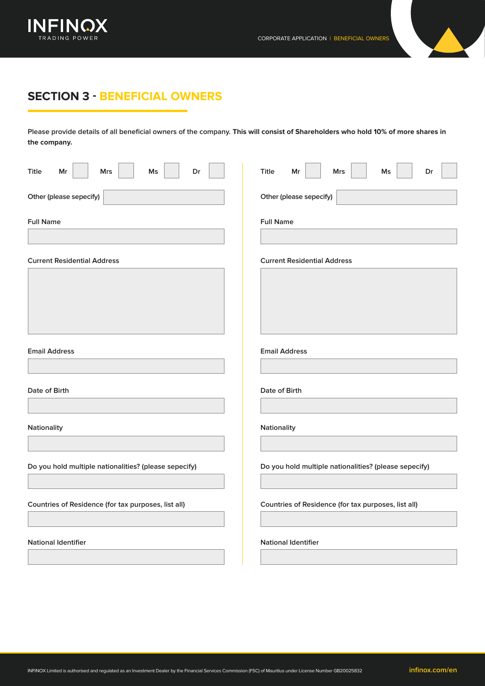

# **SECTION 3 - BENEFICIAL OWNERS**

**Please provide details of all beneficial owners of the company. This will consist of Shareholders who hold 10% of more shares in the company.**

| <b>Title</b><br>Mr<br><b>Mrs</b><br>Ms<br>Dr          | <b>Title</b><br>Mr<br><b>Mrs</b><br>Ms<br>Dr          |
|-------------------------------------------------------|-------------------------------------------------------|
| Other (please sepecify)                               | Other (please sepecify)                               |
| <b>Full Name</b>                                      | <b>Full Name</b>                                      |
| <b>Current Residential Address</b>                    | <b>Current Residential Address</b>                    |
|                                                       |                                                       |
| <b>Email Address</b>                                  | <b>Email Address</b>                                  |
| Date of Birth                                         | Date of Birth                                         |
| Nationality                                           | Nationality                                           |
| Do you hold multiple nationalities? (please sepecify) | Do you hold multiple nationalities? (please sepecify) |
| Countries of Residence (for tax purposes, list all)   | Countries of Residence (for tax purposes, list all)   |
| <b>National Identifier</b>                            | <b>National Identifier</b>                            |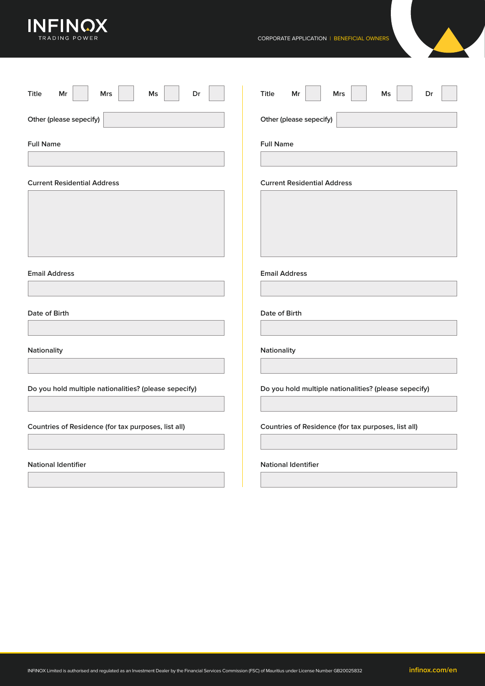

| Dr<br>Title<br>Mr<br>Ms<br>Mrs                        | Title<br>Ms<br>Dr<br>Mr<br>Mrs                        |
|-------------------------------------------------------|-------------------------------------------------------|
| Other (please sepecify)                               | Other (please sepecify)                               |
| <b>Full Name</b>                                      | <b>Full Name</b>                                      |
| <b>Current Residential Address</b>                    | <b>Current Residential Address</b>                    |
|                                                       |                                                       |
| <b>Email Address</b>                                  | <b>Email Address</b>                                  |
| Date of Birth                                         | Date of Birth                                         |
| Nationality                                           | Nationality                                           |
| Do you hold multiple nationalities? (please sepecify) | Do you hold multiple nationalities? (please sepecify) |
| Countries of Residence (for tax purposes, list all)   | Countries of Residence (for tax purposes, list all)   |
| <b>National Identifier</b>                            | <b>National Identifier</b>                            |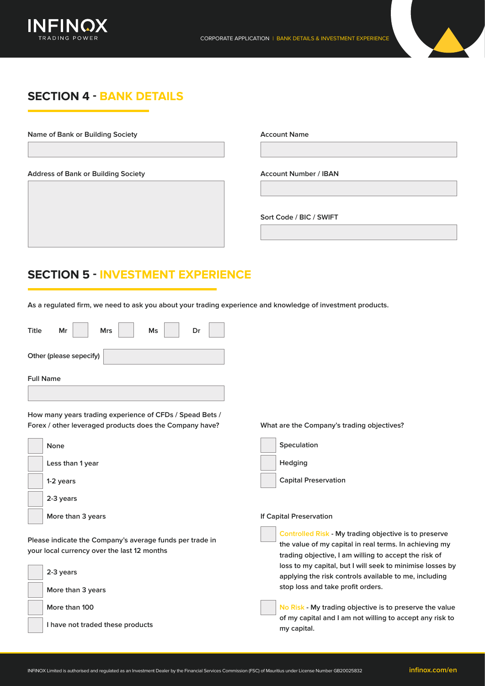

# **SECTION 4 - BANK DETAILS**

**Name of Bank or Building Society Account Name**

**Address of Bank or Building Society**

**Account Number / IBAN**

**Sort Code / BIC / SWIFT**

# **SECTION 5 - INVESTMENT EXPERIENCE**

**As a regulated firm, we need to ask you about your trading experience and knowledge of investment products.**

| <b>Title</b>     | Mr                      | <b>Mrs</b> | Ms | Dr |
|------------------|-------------------------|------------|----|----|
|                  | Other (please sepecify) |            |    |    |
| <b>Full Name</b> |                         |            |    |    |
|                  |                         |            |    |    |

**How many years trading experience of CFDs / Spead Bets / Forex / other leveraged products does the Company have? What are the Company's trading objectives?**



**Please indicate the Company's average funds per trade in your local currency over the last 12 months**





## **If Capital Preservation**

**Controlled Risk - My trading objective is to preserve the value of my capital in real terms. In achieving my trading objective, I am willing to accept the risk of loss to my capital, but I will seek to minimise losses by applying the risk controls available to me, including stop loss and take profit orders.**

**No Risk - My trading objective is to preserve the value of my capital and I am not willing to accept any risk to my capital.**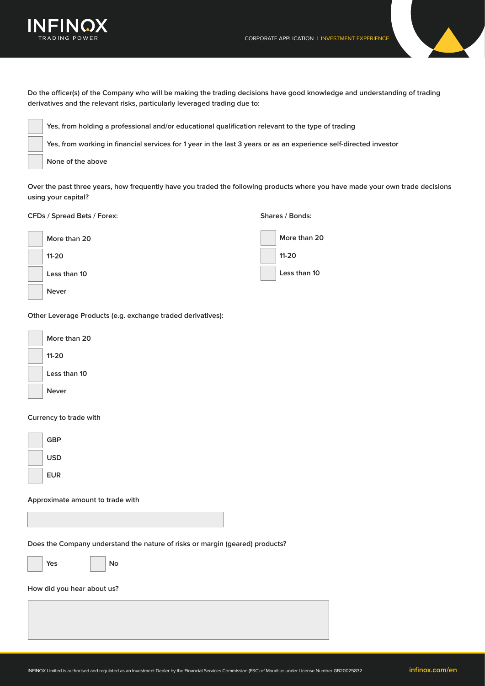



**Do the officer(s) of the Company who will be making the trading decisions have good knowledge and understanding of trading derivatives and the relevant risks, particularly leveraged trading due to:**

| Yes, from holding a professional and/or educational qualification relevant to the type of trading                 |
|-------------------------------------------------------------------------------------------------------------------|
| Yes, from working in financial services for 1 year in the last 3 years or as an experience self-directed investor |
| None of the above                                                                                                 |

**Over the past three years, how frequently have you traded the following products where you have made your own trade decisions using your capital?**

**CFDs / Spread Bets / Forex: Shares / Bonds:**

| More than 20 | More than 20 |
|--------------|--------------|
| $11-20$      | $11 - 20$    |
| Less than 10 | Less than 10 |
| <b>Never</b> |              |

**Other Leverage Products (e.g. exchange traded derivatives):**



# **Currency to trade with**



## **Approximate amount to trade with**

**Does the Company understand the nature of risks or margin (geared) products?**



## **No**

## **How did you hear about us?**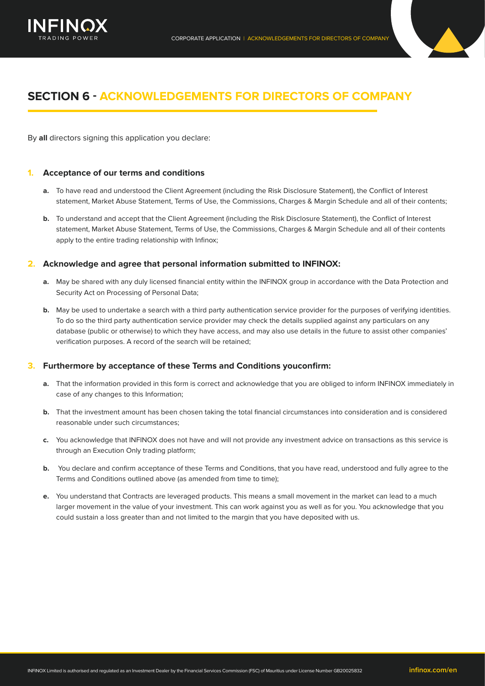

# **SECTION 6 - ACKNOWLEDGEMENTS FOR DIRECTORS OF COMPANY**

By **all** directors signing this application you declare:

## **1. Acceptance of our terms and conditions**

- **a.** To have read and understood the Client Agreement (including the Risk Disclosure Statement), the Conflict of Interest statement, Market Abuse Statement, Terms of Use, the Commissions, Charges & Margin Schedule and all of their contents;
- **b.** To understand and accept that the Client Agreement (including the Risk Disclosure Statement), the Conflict of Interest statement, Market Abuse Statement, Terms of Use, the Commissions, Charges & Margin Schedule and all of their contents apply to the entire trading relationship with Infinox;

## **2. Acknowledge and agree that personal information submitted to INFINOX:**

- **a.** May be shared with any duly licensed financial entity within the INFINOX group in accordance with the Data Protection and Security Act on Processing of Personal Data;
- **b.** May be used to undertake a search with a third party authentication service provider for the purposes of verifying identities. To do so the third party authentication service provider may check the details supplied against any particulars on any database (public or otherwise) to which they have access, and may also use details in the future to assist other companies' verification purposes. A record of the search will be retained;

## **3. Furthermore by acceptance of these Terms and Conditions youconfirm:**

- **a.** That the information provided in this form is correct and acknowledge that you are obliged to inform INFINOX immediately in case of any changes to this Information;
- **b.** That the investment amount has been chosen taking the total financial circumstances into consideration and is considered reasonable under such circumstances;
- **c.** You acknowledge that INFINOX does not have and will not provide any investment advice on transactions as this service is through an Execution Only trading platform;
- **b.** You declare and confirm acceptance of these Terms and Conditions, that you have read, understood and fully agree to the Terms and Conditions outlined above (as amended from time to time);
- **e.** You understand that Contracts are leveraged products. This means a small movement in the market can lead to a much larger movement in the value of your investment. This can work against you as well as for you. You acknowledge that you could sustain a loss greater than and not limited to the margin that you have deposited with us.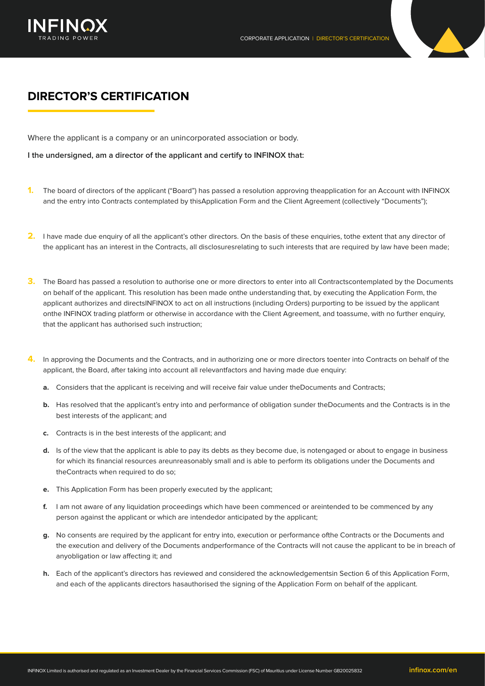



Where the applicant is a company or an unincorporated association or body.

**I the undersigned, am a director of the applicant and certify to INFINOX that:**

- **1.** The board of directors of the applicant ("Board") has passed a resolution approving theapplication for an Account with INFINOX and the entry into Contracts contemplated by thisApplication Form and the Client Agreement (collectively "Documents");
- **2.** I have made due enquiry of all the applicant's other directors. On the basis of these enquiries, tothe extent that any director of the applicant has an interest in the Contracts, all disclosuresrelating to such interests that are required by law have been made;
- **3.** The Board has passed a resolution to authorise one or more directors to enter into all Contractscontemplated by the Documents on behalf of the applicant. This resolution has been made onthe understanding that, by executing the Application Form, the applicant authorizes and directsINFINOX to act on all instructions (including Orders) purporting to be issued by the applicant onthe INFINOX trading platform or otherwise in accordance with the Client Agreement, and toassume, with no further enquiry, that the applicant has authorised such instruction;
- **4.** In approving the Documents and the Contracts, and in authorizing one or more directors toenter into Contracts on behalf of the applicant, the Board, after taking into account all relevantfactors and having made due enquiry:
	- **a.** Considers that the applicant is receiving and will receive fair value under theDocuments and Contracts;
	- **b.** Has resolved that the applicant's entry into and performance of obligation sunder theDocuments and the Contracts is in the best interests of the applicant; and
	- **c.** Contracts is in the best interests of the applicant; and
	- **d.** Is of the view that the applicant is able to pay its debts as they become due, is notengaged or about to engage in business for which its financial resources areunreasonably small and is able to perform its obligations under the Documents and theContracts when required to do so;
	- **e.** This Application Form has been properly executed by the applicant;
	- **f.** I am not aware of any liquidation proceedings which have been commenced or areintended to be commenced by any person against the applicant or which are intendedor anticipated by the applicant;
	- **g.** No consents are required by the applicant for entry into, execution or performance ofthe Contracts or the Documents and the execution and delivery of the Documents andperformance of the Contracts will not cause the applicant to be in breach of anyobligation or law affecting it; and
	- **h.** Each of the applicant's directors has reviewed and considered the acknowledgementsin Section 6 of this Application Form, and each of the applicants directors hasauthorised the signing of the Application Form on behalf of the applicant.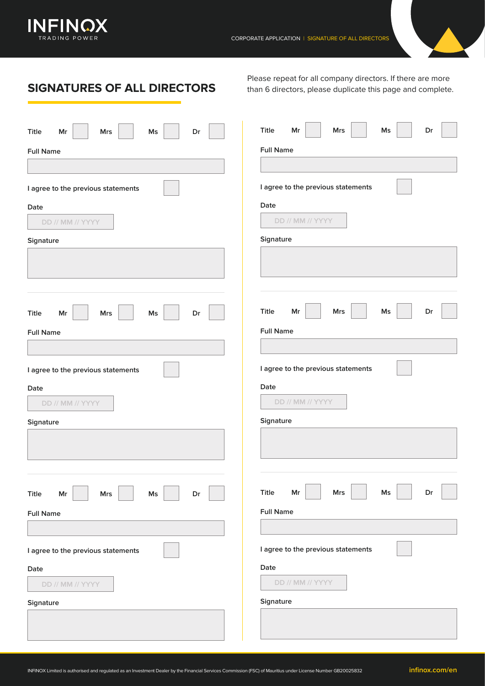

**SIGNATURES OF ALL DIRECTORS**

Please repeat for all company directors. If there are more than 6 directors, please duplicate this page and complete.

| Title<br>$\mathsf{Ms}$<br>Mr<br><b>Mrs</b><br>Dr | Title<br>Mr<br>Mrs<br>Ms<br>Dr        |
|--------------------------------------------------|---------------------------------------|
| <b>Full Name</b>                                 | <b>Full Name</b>                      |
|                                                  |                                       |
|                                                  |                                       |
| I agree to the previous statements               | I agree to the previous statements    |
| Date                                             | Date                                  |
| DD // MM // YYYY                                 | DD // MM // YYYY                      |
| Signature                                        | Signature                             |
|                                                  |                                       |
|                                                  |                                       |
|                                                  |                                       |
|                                                  |                                       |
| Title<br>$\mathsf{Ms}$<br>Dr<br>Mr<br><b>Mrs</b> | <b>Title</b><br>Mr<br>Mrs<br>Ms<br>Dr |
| <b>Full Name</b>                                 | <b>Full Name</b>                      |
|                                                  |                                       |
|                                                  | I agree to the previous statements    |
| I agree to the previous statements               |                                       |
| Date                                             | Date                                  |
| DD // MM // YYYY                                 | DD // MM // YYYY                      |
| Signature                                        | Signature                             |
|                                                  |                                       |
|                                                  |                                       |
|                                                  |                                       |
|                                                  | Title                                 |
| Title<br>Mr<br><b>Mrs</b><br>Ms<br>Dr            | Mr<br><b>Mrs</b><br>Ms<br>Dr          |
| <b>Full Name</b>                                 | <b>Full Name</b>                      |
|                                                  |                                       |
| I agree to the previous statements               | I agree to the previous statements    |
| Date                                             | Date                                  |
| DD // MM // YYYY                                 | DD // MM // YYYY                      |
|                                                  |                                       |
| Signature                                        | Signature                             |
|                                                  |                                       |
|                                                  |                                       |